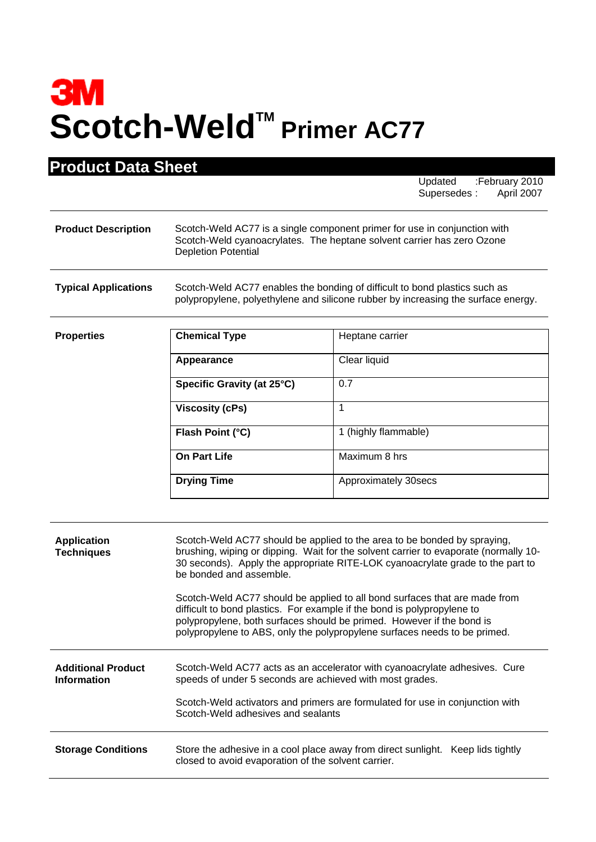## **3M** Scotch-Weld<sup>™</sup> Primer AC77

**Product Data Sheet**

| <b>Product Data Sheet</b>                       |                                                                                                                                                                                                                                                                                                                                                                                                                                                                                                                                                                                              | Updated<br>:February 2010<br>Supersedes:<br>April 2007                                                                                                          |
|-------------------------------------------------|----------------------------------------------------------------------------------------------------------------------------------------------------------------------------------------------------------------------------------------------------------------------------------------------------------------------------------------------------------------------------------------------------------------------------------------------------------------------------------------------------------------------------------------------------------------------------------------------|-----------------------------------------------------------------------------------------------------------------------------------------------------------------|
| <b>Product Description</b>                      | Scotch-Weld AC77 is a single component primer for use in conjunction with<br>Scotch-Weld cyanoacrylates. The heptane solvent carrier has zero Ozone<br><b>Depletion Potential</b>                                                                                                                                                                                                                                                                                                                                                                                                            |                                                                                                                                                                 |
| <b>Typical Applications</b>                     |                                                                                                                                                                                                                                                                                                                                                                                                                                                                                                                                                                                              | Scotch-Weld AC77 enables the bonding of difficult to bond plastics such as<br>polypropylene, polyethylene and silicone rubber by increasing the surface energy. |
| <b>Properties</b>                               | <b>Chemical Type</b>                                                                                                                                                                                                                                                                                                                                                                                                                                                                                                                                                                         | Heptane carrier                                                                                                                                                 |
|                                                 | Appearance                                                                                                                                                                                                                                                                                                                                                                                                                                                                                                                                                                                   | Clear liquid                                                                                                                                                    |
|                                                 | Specific Gravity (at 25°C)                                                                                                                                                                                                                                                                                                                                                                                                                                                                                                                                                                   | 0.7                                                                                                                                                             |
|                                                 | <b>Viscosity (cPs)</b>                                                                                                                                                                                                                                                                                                                                                                                                                                                                                                                                                                       | 1                                                                                                                                                               |
|                                                 | Flash Point (°C)                                                                                                                                                                                                                                                                                                                                                                                                                                                                                                                                                                             | 1 (highly flammable)                                                                                                                                            |
|                                                 | <b>On Part Life</b>                                                                                                                                                                                                                                                                                                                                                                                                                                                                                                                                                                          | Maximum 8 hrs                                                                                                                                                   |
|                                                 | <b>Drying Time</b>                                                                                                                                                                                                                                                                                                                                                                                                                                                                                                                                                                           | Approximately 30secs                                                                                                                                            |
| <b>Application</b><br><b>Techniques</b>         | Scotch-Weld AC77 should be applied to the area to be bonded by spraying,<br>brushing, wiping or dipping. Wait for the solvent carrier to evaporate (normally 10-<br>30 seconds). Apply the appropriate RITE-LOK cyanoacrylate grade to the part to<br>be bonded and assemble.<br>Scotch-Weld AC77 should be applied to all bond surfaces that are made from<br>difficult to bond plastics. For example if the bond is polypropylene to<br>polypropylene, both surfaces should be primed. However if the bond is<br>polypropylene to ABS, only the polypropylene surfaces needs to be primed. |                                                                                                                                                                 |
| <b>Additional Product</b><br><b>Information</b> | Scotch-Weld AC77 acts as an accelerator with cyanoacrylate adhesives. Cure<br>speeds of under 5 seconds are achieved with most grades.<br>Scotch-Weld activators and primers are formulated for use in conjunction with<br>Scotch-Weld adhesives and sealants                                                                                                                                                                                                                                                                                                                                |                                                                                                                                                                 |
| <b>Storage Conditions</b>                       | Store the adhesive in a cool place away from direct sunlight.<br>Keep lids tightly<br>closed to avoid evaporation of the solvent carrier.                                                                                                                                                                                                                                                                                                                                                                                                                                                    |                                                                                                                                                                 |